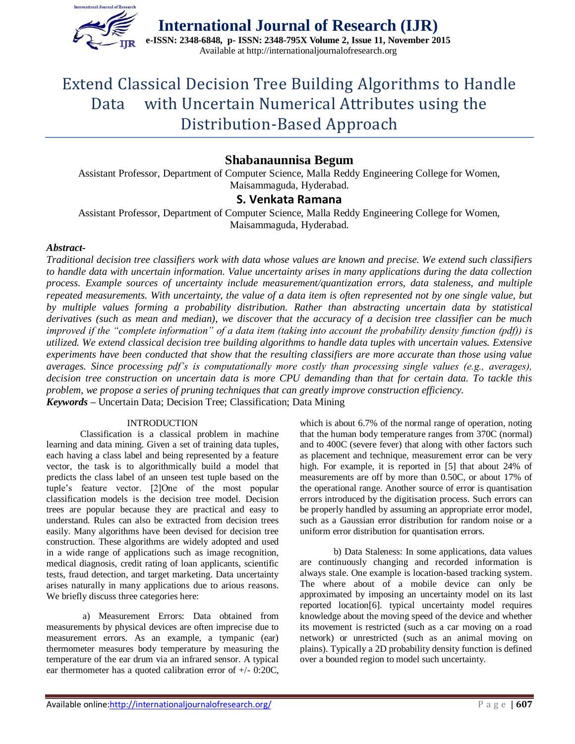

# Extend Classical Decision Tree Building Algorithms to Handle Data with Uncertain Numerical Attributes using the Distribution-Based Approach

# **Shabanaunnisa Begum**

Assistant Professor, Department of Computer Science, Malla Reddy Engineering College for Women, Maisammaguda, Hyderabad.

# **S. Venkata Ramana**

Assistant Professor, Department of Computer Science, Malla Reddy Engineering College for Women, Maisammaguda, Hyderabad.

## *Abstract-*

*Traditional decision tree classifiers work with data whose values are known and precise. We extend such classifiers to handle data with uncertain information. Value uncertainty arises in many applications during the data collection process. Example sources of uncertainty include measurement/quantization errors, data staleness, and multiple repeated measurements. With uncertainty, the value of a data item is often represented not by one single value, but by multiple values forming a probability distribution. Rather than abstracting uncertain data by statistical derivatives (such as mean and median), we discover that the accuracy of a decision tree classifier can be much improved if the "complete information" of a data item (taking into account the probability density function (pdf)) is utilized. We extend classical decision tree building algorithms to handle data tuples with uncertain values. Extensive experiments have been conducted that show that the resulting classifiers are more accurate than those using value averages. Since processing pdf's is computationally more costly than processing single values (e.g., averages), decision tree construction on uncertain data is more CPU demanding than that for certain data. To tackle this problem, we propose a series of pruning techniques that can greatly improve construction efficiency. Keywords –* Uncertain Data; Decision Tree; Classification; Data Mining

#### INTRODUCTION

Classification is a classical problem in machine learning and data mining. Given a set of training data tuples, each having a class label and being represented by a feature vector, the task is to algorithmically build a model that predicts the class label of an unseen test tuple based on the tuple's feature vector. [2]One of the most popular classification models is the decision tree model. Decision trees are popular because they are practical and easy to understand. Rules can also be extracted from decision trees easily. Many algorithms have been devised for decision tree construction. These algorithms are widely adopted and used in a wide range of applications such as image recognition, medical diagnosis, credit rating of loan applicants, scientific tests, fraud detection, and target marketing. Data uncertainty arises naturally in many applications due to arious reasons. We briefly discuss three categories here:

a) Measurement Errors: Data obtained from measurements by physical devices are often imprecise due to measurement errors. As an example, a tympanic (ear) thermometer measures body temperature by measuring the temperature of the ear drum via an infrared sensor. A typical ear thermometer has a quoted calibration error of +/- 0:20C,

which is about 6.7% of the normal range of operation, noting that the human body temperature ranges from 370C (normal) and to 400C (severe fever) that along with other factors such as placement and technique, measurement error can be very high. For example, it is reported in [5] that about 24% of measurements are off by more than 0.50C, or about 17% of the operational range. Another source of error is quantisation errors introduced by the digitisation process. Such errors can be properly handled by assuming an appropriate error model, such as a Gaussian error distribution for random noise or a uniform error distribution for quantisation errors.

b) Data Staleness: In some applications, data values are continuously changing and recorded information is always stale. One example is location-based tracking system. The where about of a mobile device can only be approximated by imposing an uncertainty model on its last reported location[6]. typical uncertainty model requires knowledge about the moving speed of the device and whether its movement is restricted (such as a car moving on a road network) or unrestricted (such as an animal moving on plains). Typically a 2D probability density function is defined over a bounded region to model such uncertainty.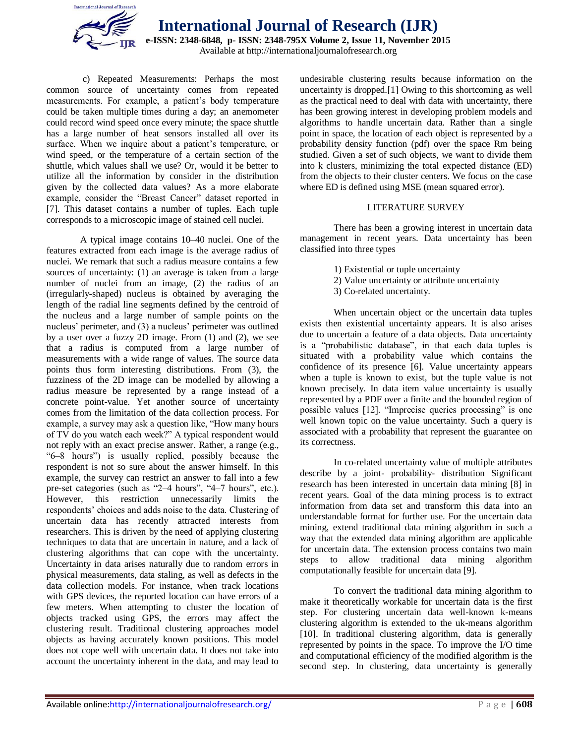

**International Journal of Research (IJR) e-ISSN: 2348-6848, p- ISSN: 2348-795X Volume 2, Issue 11, November 2015** Available at http://internationaljournalofresearch.org

c) Repeated Measurements: Perhaps the most common source of uncertainty comes from repeated measurements. For example, a patient's body temperature could be taken multiple times during a day; an anemometer could record wind speed once every minute; the space shuttle has a large number of heat sensors installed all over its surface. When we inquire about a patient's temperature, or wind speed, or the temperature of a certain section of the shuttle, which values shall we use? Or, would it be better to utilize all the information by consider in the distribution given by the collected data values? As a more elaborate example, consider the "Breast Cancer" dataset reported in [7]. This dataset contains a number of tuples. Each tuple corresponds to a microscopic image of stained cell nuclei.

A typical image contains 10–40 nuclei. One of the features extracted from each image is the average radius of nuclei. We remark that such a radius measure contains a few sources of uncertainty: (1) an average is taken from a large number of nuclei from an image, (2) the radius of an (irregularly-shaped) nucleus is obtained by averaging the length of the radial line segments defined by the centroid of the nucleus and a large number of sample points on the nucleus' perimeter, and (3) a nucleus' perimeter was outlined by a user over a fuzzy 2D image. From (1) and (2), we see that a radius is computed from a large number of measurements with a wide range of values. The source data points thus form interesting distributions. From (3), the fuzziness of the 2D image can be modelled by allowing a radius measure be represented by a range instead of a concrete point-value. Yet another source of uncertainty comes from the limitation of the data collection process. For example, a survey may ask a question like, "How many hours of TV do you watch each week?" A typical respondent would not reply with an exact precise answer. Rather, a range (e.g., "6–8 hours") is usually replied, possibly because the respondent is not so sure about the answer himself. In this example, the survey can restrict an answer to fall into a few pre-set categories (such as "2–4 hours", "4–7 hours", etc.). However, this restriction unnecessarily limits the respondents' choices and adds noise to the data. Clustering of uncertain data has recently attracted interests from researchers. This is driven by the need of applying clustering techniques to data that are uncertain in nature, and a lack of clustering algorithms that can cope with the uncertainty. Uncertainty in data arises naturally due to random errors in physical measurements, data staling, as well as defects in the data collection models. For instance, when track locations with GPS devices, the reported location can have errors of a few meters. When attempting to cluster the location of objects tracked using GPS, the errors may affect the clustering result. Traditional clustering approaches model objects as having accurately known positions. This model does not cope well with uncertain data. It does not take into account the uncertainty inherent in the data, and may lead to

undesirable clustering results because information on the uncertainty is dropped.[1] Owing to this shortcoming as well as the practical need to deal with data with uncertainty, there has been growing interest in developing problem models and algorithms to handle uncertain data. Rather than a single point in space, the location of each object is represented by a probability density function (pdf) over the space Rm being studied. Given a set of such objects, we want to divide them into k clusters, minimizing the total expected distance (ED) from the objects to their cluster centers. We focus on the case where ED is defined using MSE (mean squared error).

#### LITERATURE SURVEY

There has been a growing interest in uncertain data management in recent years. Data uncertainty has been classified into three types

- 1) Existential or tuple uncertainty
- 2) Value uncertainty or attribute uncertainty
- 3) Co-related uncertainty.

When uncertain object or the uncertain data tuples exists then existential uncertainty appears. It is also arises due to uncertain a feature of a data objects. Data uncertainty is a "probabilistic database", in that each data tuples is situated with a probability value which contains the confidence of its presence [6]. Value uncertainty appears when a tuple is known to exist, but the tuple value is not known precisely. In data item value uncertainty is usually represented by a PDF over a finite and the bounded region of possible values [12]. "Imprecise queries processing" is one well known topic on the value uncertainty. Such a query is associated with a probability that represent the guarantee on its correctness.

In co-related uncertainty value of multiple attributes describe by a joint- probability- distribution Significant research has been interested in uncertain data mining [8] in recent years. Goal of the data mining process is to extract information from data set and transform this data into an understandable format for further use. For the uncertain data mining, extend traditional data mining algorithm in such a way that the extended data mining algorithm are applicable for uncertain data. The extension process contains two main steps to allow traditional data mining algorithm computationally feasible for uncertain data [9].

To convert the traditional data mining algorithm to make it theoretically workable for uncertain data is the first step. For clustering uncertain data well-known k-means clustering algorithm is extended to the uk-means algorithm [10]. In traditional clustering algorithm, data is generally represented by points in the space. To improve the I/O time and computational efficiency of the modified algorithm is the second step. In clustering, data uncertainty is generally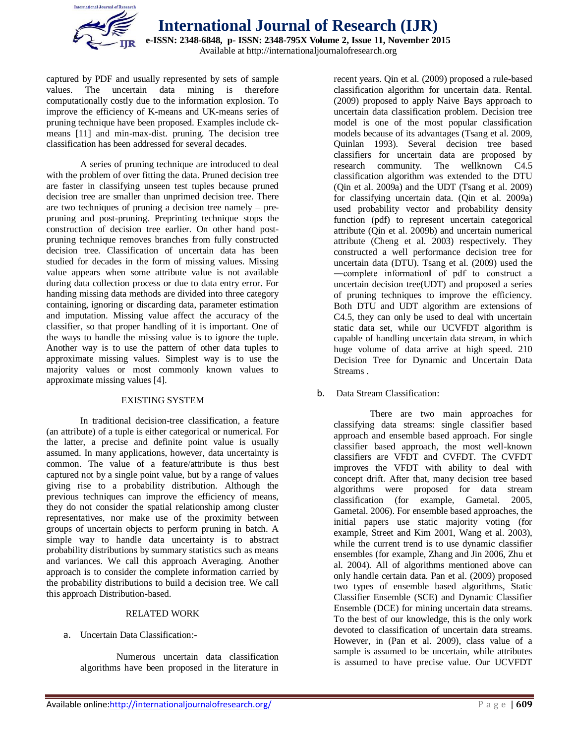

captured by PDF and usually represented by sets of sample values. The uncertain data mining is therefore computationally costly due to the information explosion. To improve the efficiency of K-means and UK-means series of pruning technique have been proposed. Examples include ckmeans [11] and min-max-dist. pruning. The decision tree classification has been addressed for several decades.

A series of pruning technique are introduced to deal with the problem of over fitting the data. Pruned decision tree are faster in classifying unseen test tuples because pruned decision tree are smaller than unprimed decision tree. There are two techniques of pruning a decision tree namely – prepruning and post-pruning. Preprinting technique stops the construction of decision tree earlier. On other hand postpruning technique removes branches from fully constructed decision tree. Classification of uncertain data has been studied for decades in the form of missing values. Missing value appears when some attribute value is not available during data collection process or due to data entry error. For handing missing data methods are divided into three category containing, ignoring or discarding data, parameter estimation and imputation. Missing value affect the accuracy of the classifier, so that proper handling of it is important. One of the ways to handle the missing value is to ignore the tuple. Another way is to use the pattern of other data tuples to approximate missing values. Simplest way is to use the majority values or most commonly known values to approximate missing values [4].

#### EXISTING SYSTEM

In traditional decision-tree classification, a feature (an attribute) of a tuple is either categorical or numerical. For the latter, a precise and definite point value is usually assumed. In many applications, however, data uncertainty is common. The value of a feature/attribute is thus best captured not by a single point value, but by a range of values giving rise to a probability distribution. Although the previous techniques can improve the efficiency of means, they do not consider the spatial relationship among cluster representatives, nor make use of the proximity between groups of uncertain objects to perform pruning in batch. A simple way to handle data uncertainty is to abstract probability distributions by summary statistics such as means and variances. We call this approach Averaging. Another approach is to consider the complete information carried by the probability distributions to build a decision tree. We call this approach Distribution-based.

#### RELATED WORK

#### a. Uncertain Data Classification:-

Numerous uncertain data classification algorithms have been proposed in the literature in

recent years. Qin et al. (2009) proposed a rule-based classification algorithm for uncertain data. Rental. (2009) proposed to apply Naive Bays approach to uncertain data classification problem. Decision tree model is one of the most popular classification models because of its advantages (Tsang et al. 2009, Quinlan 1993). Several decision tree based classifiers for uncertain data are proposed by research community. The wellknown C4.5 classification algorithm was extended to the DTU (Qin et al. 2009a) and the UDT (Tsang et al. 2009) for classifying uncertain data. (Qin et al. 2009a) used probability vector and probability density function (pdf) to represent uncertain categorical attribute (Qin et al. 2009b) and uncertain numerical attribute (Cheng et al. 2003) respectively. They constructed a well performance decision tree for uncertain data (DTU). Tsang et al. (2009) used the ―complete information‖ of pdf to construct a uncertain decision tree(UDT) and proposed a series of pruning techniques to improve the efficiency. Both DTU and UDT algorithm are extensions of C4.5, they can only be used to deal with uncertain static data set, while our UCVFDT algorithm is capable of handling uncertain data stream, in which huge volume of data arrive at high speed. 210 Decision Tree for Dynamic and Uncertain Data Streams .

#### b. Data Stream Classification:

There are two main approaches for classifying data streams: single classifier based approach and ensemble based approach. For single classifier based approach, the most well-known classifiers are VFDT and CVFDT. The CVFDT improves the VFDT with ability to deal with concept drift. After that, many decision tree based algorithms were proposed for data stream classification (for example, Gametal. 2005, Gametal. 2006). For ensemble based approaches, the initial papers use static majority voting (for example, Street and Kim 2001, Wang et al. 2003), while the current trend is to use dynamic classifier ensembles (for example, Zhang and Jin 2006, Zhu et al. 2004). All of algorithms mentioned above can only handle certain data. Pan et al. (2009) proposed two types of ensemble based algorithms, Static Classifier Ensemble (SCE) and Dynamic Classifier Ensemble (DCE) for mining uncertain data streams. To the best of our knowledge, this is the only work devoted to classification of uncertain data streams. However, in (Pan et al. 2009), class value of a sample is assumed to be uncertain, while attributes is assumed to have precise value. Our UCVFDT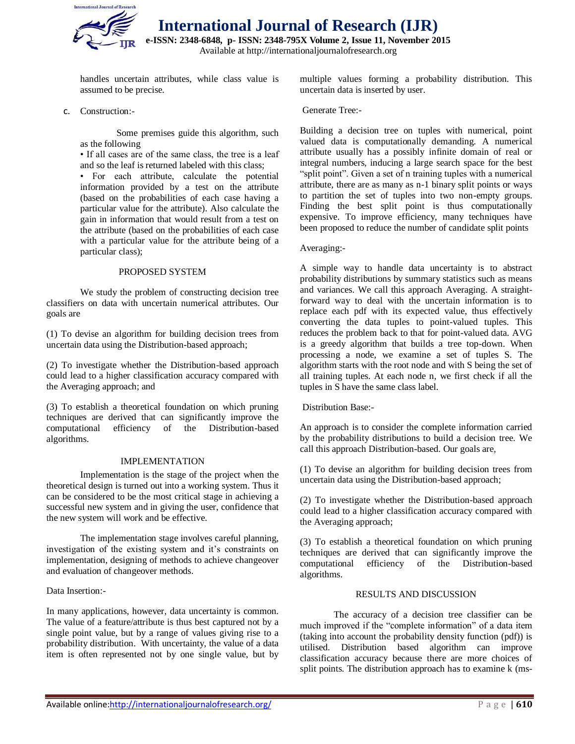

**International Journal of Research (IJR)**

**e-ISSN: 2348-6848, p- ISSN: 2348-795X Volume 2, Issue 11, November 2015**

Available at http://internationaljournalofresearch.org

handles uncertain attributes, while class value is assumed to be precise.

c. Construction:-

Some premises guide this algorithm, such as the following

• If all cases are of the same class, the tree is a leaf and so the leaf is returned labeled with this class;

• For each attribute, calculate the potential information provided by a test on the attribute (based on the probabilities of each case having a particular value for the attribute). Also calculate the gain in information that would result from a test on the attribute (based on the probabilities of each case with a particular value for the attribute being of a particular class);

### PROPOSED SYSTEM

We study the problem of constructing decision tree classifiers on data with uncertain numerical attributes. Our goals are

(1) To devise an algorithm for building decision trees from uncertain data using the Distribution-based approach;

(2) To investigate whether the Distribution-based approach could lead to a higher classification accuracy compared with the Averaging approach; and

(3) To establish a theoretical foundation on which pruning techniques are derived that can significantly improve the computational efficiency of the Distribution-based algorithms.

#### IMPLEMENTATION

Implementation is the stage of the project when the theoretical design is turned out into a working system. Thus it can be considered to be the most critical stage in achieving a successful new system and in giving the user, confidence that the new system will work and be effective.

The implementation stage involves careful planning, investigation of the existing system and it's constraints on implementation, designing of methods to achieve changeover and evaluation of changeover methods.

Data Insertion:-

In many applications, however, data uncertainty is common. The value of a feature/attribute is thus best captured not by a single point value, but by a range of values giving rise to a probability distribution. With uncertainty, the value of a data item is often represented not by one single value, but by

multiple values forming a probability distribution. This uncertain data is inserted by user.

Generate Tree:-

Building a decision tree on tuples with numerical, point valued data is computationally demanding. A numerical attribute usually has a possibly infinite domain of real or integral numbers, inducing a large search space for the best "split point". Given a set of n training tuples with a numerical attribute, there are as many as n-1 binary split points or ways to partition the set of tuples into two non-empty groups. Finding the best split point is thus computationally expensive. To improve efficiency, many techniques have been proposed to reduce the number of candidate split points

#### Averaging:-

A simple way to handle data uncertainty is to abstract probability distributions by summary statistics such as means and variances. We call this approach Averaging. A straightforward way to deal with the uncertain information is to replace each pdf with its expected value, thus effectively converting the data tuples to point-valued tuples. This reduces the problem back to that for point-valued data. AVG is a greedy algorithm that builds a tree top-down. When processing a node, we examine a set of tuples S. The algorithm starts with the root node and with S being the set of all training tuples. At each node n, we first check if all the tuples in S have the same class label.

Distribution Base:-

An approach is to consider the complete information carried by the probability distributions to build a decision tree. We call this approach Distribution-based. Our goals are,

(1) To devise an algorithm for building decision trees from uncertain data using the Distribution-based approach;

(2) To investigate whether the Distribution-based approach could lead to a higher classification accuracy compared with the Averaging approach;

(3) To establish a theoretical foundation on which pruning techniques are derived that can significantly improve the computational efficiency of the Distribution-based algorithms.

## RESULTS AND DISCUSSION

The accuracy of a decision tree classifier can be much improved if the "complete information" of a data item (taking into account the probability density function (pdf)) is utilised. Distribution based algorithm can improve classification accuracy because there are more choices of split points. The distribution approach has to examine k (ms-